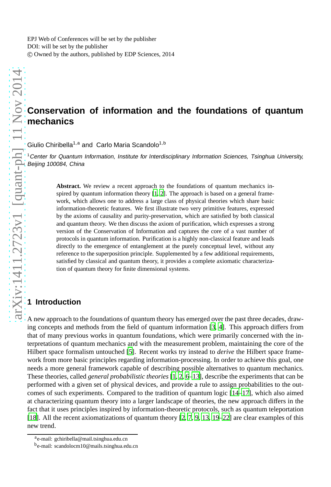# **Conservation of information and the foundations of quantum mechanics**

Giulio Chiribella<sup>1,a</sup> and Carlo Maria Scandolo<sup>1,b</sup>

<sup>1</sup>Center for Quantum Information, Institute for Interdisciplinary Information Sciences, Tsinghua University, Beijing 100084, China

> **Abstract.** We review a recent approach to the foundations of quantum mechanics inspired by quantum information theory [\[1](#page-9-0), [2](#page-9-1)]. The approach is based on a general framework, which allows one to address a large class of physical theories which share basic information-theoretic features. We first illustrate two very primitive features, expressed by the axioms of causality and purity-preservation, which are satisfied by both classical and quantum theory. We then discuss the axiom of purification, which expresses a strong version of the Conservation of Information and captures the core of a vast number of protocols in quantum information. Purification is a highly non-classical feature and leads directly to the emergence of entanglement at the purely conceptual level, without any reference to the superposition principle. Supplemented by a few additional requirements, satisfied by classical and quantum theory, it provides a complete axiomatic characterization of quantum theory for finite dimensional systems.

# **1 Introduction**

A new approach to the foundations of quantum theory has emerged over the past three decades, drawing concepts and methods from the field of quantum information [\[3](#page-9-2), [4\]](#page-9-3). This approach differs from that of many previous works in quantum foundations, which were primarily concerned with the interpretations of quantum mechanics and with the measurement problem, maintaining the core of the Hilbert space formalism untouched [\[5\]](#page-9-4). Recent works try instead to *derive* the Hilbert space framework from more basic principles regarding information-processing. In order to achieve this goal, one needs a more general framework capable of describing possible alternatives to quantum mechanics. These theories, called *general probabilistic theories* [\[1](#page-9-0), [2,](#page-9-1) [6](#page-9-5)[–13\]](#page-9-6), describe the experiments that can be performed with a given set of physical devices, and provide a rule to assign probabilities to the outcomes of such experiments. Compared to the tradition of quantum logic [\[14](#page-9-7)[–17\]](#page-9-8), which also aimed at characterizing quantum theory into a larger landscape of theories, the new approach differs in the fact that it uses principles inspired by information-theoretic protocols, such as quantum teleportation [\[18\]](#page-9-9). All the recent axiomatizations of quantum theory [\[2](#page-9-1), [7](#page-9-10), [9](#page-9-11), [13,](#page-9-6) [19](#page-9-12)[–22\]](#page-10-0) are clear examples of this new trend.

a<br>e-mail: gchiribella@mail.tsinghua.edu.cn

b<sub>e-mail: scandolocm10@mails.tsinghua.edu.cn</sub>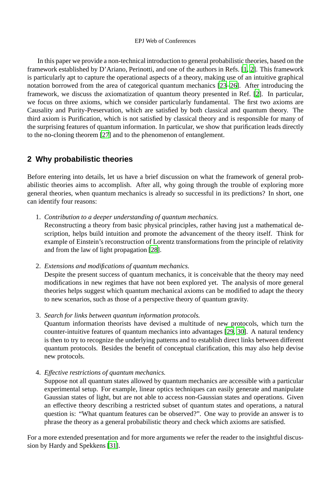In this paper we provide a non-technical introduction to general probabilistic theories, based on the framework established by D'Ariano, Perinotti, and one of the authors in Refs. [\[1,](#page-9-0) [2\]](#page-9-1). This framework is particularly apt to capture the operational aspects of a theory, making use of an intuitive graphical notation borrowed from the area of categorical quantum mechanics [\[23](#page-10-1)[–26](#page-10-2)]. After introducing the framework, we discuss the axiomatization of quantum theory presented in Ref. [\[2\]](#page-9-1). In particular, we focus on three axioms, which we consider particularly fundamental. The first two axioms are Causality and Purity-Preservation, which are satisfied by both classical and quantum theory. The third axiom is Purification, which is not satisfied by classical theory and is responsible for many of the surprising features of quantum information. In particular, we show that purification leads directly to the no-cloning theorem [\[27\]](#page-10-3) and to the phenomenon of entanglement.

# **2 Why probabilistic theories**

Before entering into details, let us have a brief discussion on what the framework of general probabilistic theories aims to accomplish. After all, why going through the trouble of exploring more general theories, when quantum mechanics is already so successful in its predictions? In short, one can identify four reasons:

1. *Contribution to a deeper understanding of quantum mechanics.* Reconstructing a theory from basic physical principles, rather having just a mathematical description, helps build intuition and promote the advancement of the theory itself. Think for example of Einstein's reconstruction of Lorentz transformations from the principle of relativity and from the law of light propagation [\[28\]](#page-10-4).

2. *Extensions and modifications of quantum mechanics.*

Despite the present success of quantum mechanics, it is conceivable that the theory may need modifications in new regimes that have not been explored yet. The analysis of more general theories helps suggest which quantum mechanical axioms can be modified to adapt the theory to new scenarios, such as those of a perspective theory of quantum gravity.

3. *Search for links between quantum information protocols.*

Quantum information theorists have devised a multitude of new protocols, which turn the counter-intuitive features of quantum mechanics into advantages [\[29](#page-10-5), [30\]](#page-10-6). A natural tendency is then to try to recognize the underlying patterns and to establish direct links between different quantum protocols. Besides the benefit of conceptual clarification, this may also help devise new protocols.

4. *E*ff*ective restrictions of quantum mechanics.*

Suppose not all quantum states allowed by quantum mechanics are accessible with a particular experimental setup. For example, linear optics techniques can easily generate and manipulate Gaussian states of light, but are not able to access non-Gaussian states and operations. Given an effective theory describing a restricted subset of quantum states and operations, a natural question is: "What quantum features can be observed?". One way to provide an answer is to phrase the theory as a general probabilistic theory and check which axioms are satisfied.

For a more extended presentation and for more arguments we refer the reader to the insightful discussion by Hardy and Spekkens [\[31\]](#page-10-7).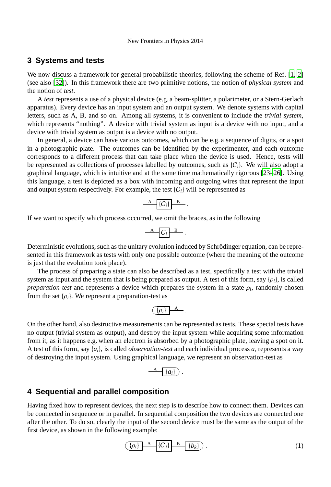# **3 Systems and tests**

We now discuss a framework for general probabilistic theories, following the scheme of Ref. [\[1](#page-9-0), [2\]](#page-9-1) (see also [\[32\]](#page-10-8)). In this framework there are two primitive notions, the notion of *physical system* and the notion of *test*.

A *test* represents a use of a physical device (e.g. a beam-splitter, a polarimeter, or a Stern-Gerlach apparatus). Every device has an input system and an output system. We denote systems with capital letters, such as A, B, and so on. Among all systems, it is convenient to include the *trivial system*, which represents "nothing". A device with trivial system as input is a device with no input, and a device with trivial system as output is a device with no output.

In general, a device can have various outcomes, which can be e.g. a sequence of digits, or a spot in a photographic plate. The outcomes can be identified by the experimenter, and each outcome corresponds to a different process that can take place when the device is used. Hence, tests will be represented as collections of processes labelled by outcomes, such as  $\{C_i\}$ . We will also adopt a graphical language, which is intuitive and at the same time mathematically rigorous [\[23–](#page-10-1)[26\]](#page-10-2). Using this language, a test is depicted as a box with incoming and outgoing wires that represent the input and output system respectively. For example, the test  $\{C_i\}$  will be represented as

$$
\begin{array}{c|c}\n & B \\
\hline\n & C_i\n\end{array}
$$

If we want to specify which process occurred, we omit the braces, as in the following

$$
\begin{array}{c|c}\n & B \\
\hline\n & C_i\n\end{array}
$$

Deterministic evolutions, such as the unitary evolution induced by Schrödinger equation, can be represented in this framework as tests with only one possible outcome (where the meaning of the outcome is just that the evolution took place).

The process of preparing a state can also be described as a test, specifically a test with the trivial system as input and the system that is being prepared as output. A test of this form, say  $\{\rho_i\}$ , is called *preparation-test* and represents a device which prepares the system in a state  $\rho_i$ , randomly chosen from the set  $\{\rho_i\}$ . We represent a preparation-test as

$$
\left(\fbox{$\rho_i$}\right) \xrightarrow{\quad A}.
$$

On the other hand, also destructive measurements can be represented as tests. These special tests have no output (trivial system as output), and destroy the input system while acquiring some information from it, as it happens e.g. when an electron is absorbed by a photographic plate, leaving a spot on it. A test of this form, say  $\{a_i\}$ , is called *observation-test* and each individual process  $a_i$  represents a way of destroying the input system. Using graphical language, we represent an observation-test as

$$
\begin{array}{c|c} A & \hline \hline a_i \end{array}
$$

## <span id="page-2-1"></span>**4 Sequential and parallel composition**

Having fixed how to represent devices, the next step is to describe how to connect them. Devices can be connected in sequence or in parallel. In sequential composition the two devices are connected one after the other. To do so, clearly the input of the second device must be the same as the output of the first device, as shown in the following example:

<span id="page-2-0"></span>
$$
\left(\frac{\{\rho_i\}}{\rho_i}\right) \stackrel{\text{A}}{\longrightarrow} \left\{C_j\right\} \stackrel{\text{B}}{\longrightarrow} \left\{b_k\right\}.
$$
 (1)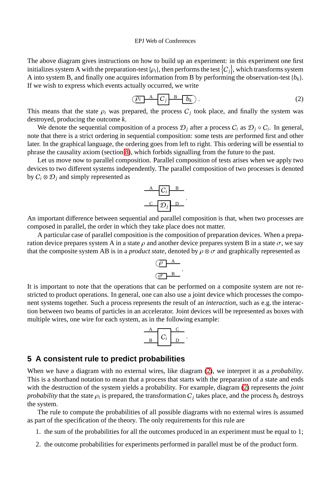The above diagram gives instructions on how to build up an experiment: in this experiment one first initializes system A with the preparation-test  $\{\rho_i\}$ , then performs the test  $\{C_j\}$ , which transforms system A into system B, and finally one acquires information from B by performing the observation-test  ${b_k}$ . If we wish to express which events actually occurred, we write

<span id="page-3-0"></span>
$$
\left(\overline{\rho_i} + A\overline{C_j} + B\overline{b_k}\right). \tag{2}
$$

This means that the state  $\rho_i$  was prepared, the process  $C_j$  took place, and finally the system was destroyed, producing the outcome *k*.

We denote the sequential composition of a process  $D_j$  after a process  $C_i$  as  $D_j \circ C_i$ . In general, note that there is a strict ordering in sequential composition: some tests are performed first and other later. In the graphical language, the ordering goes from left to right. This ordering will be essential to phrase the causality axiom (section [8\)](#page-5-0), which forbids signalling from the future to the past.

Let us move now to parallel composition. Parallel composition of tests arises when we apply two devices to two different systems independently. The parallel composition of two processes is denoted by  $C_i \otimes D_j$  and simply represented as

$$
\begin{array}{c|c}\n & A & C_i & B \\
\hline\nC & D_j & D\n\end{array}
$$

An important difference between sequential and parallel composition is that, when two processes are composed in parallel, the order in which they take place does not matter.

A particular case of parallel composition is the composition of preparation devices. When a preparation device prepares system A in a state  $\rho$  and another device prepares system B in a state  $\sigma$ , we say that the composite system AB is in a *product state*, denoted by  $\rho \otimes \sigma$  and graphically represented as

$$
\frac{(\rho) A}{(\sigma) B}
$$

It is important to note that the operations that can be performed on a composite system are not restricted to product operations. In general, one can also use a joint device which processes the component systems together. Such a process represents the result of an *interaction*, such as e.g. the interaction between two beams of particles in an accelerator. Joint devices will be represented as boxes with multiple wires, one wire for each system, as in the following example:



## **5 A consistent rule to predict probabilities**

When we have a diagram with no external wires, like diagram [\(2\)](#page-3-0), we interpret it as a *probability*. This is a shorthand notation to mean that a process that starts with the preparation of a state and ends with the destruction of the system yields a probability. For example, diagram [\(2\)](#page-3-0) represents the *joint probability* that the state  $\rho_i$  is prepared, the transformation  $C_j$  takes place, and the process  $b_k$  destroys the system.

The rule to compute the probabilities of all possible diagrams with no external wires is assumed as part of the specification of the theory. The only requirements for this rule are

- 1. the sum of the probabilities for all the outcomes produced in an experiment must be equal to 1;
- 2. the outcome probabilities for experiments performed in parallel must be of the product form.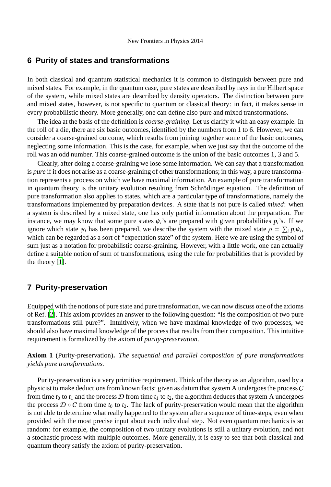## **6 Purity of states and transformations**

In both classical and quantum statistical mechanics it is common to distinguish between pure and mixed states. For example, in the quantum case, pure states are described by rays in the Hilbert space of the system, while mixed states are described by density operators. The distinction between pure and mixed states, however, is not specific to quantum or classical theory: in fact, it makes sense in every probabilistic theory. More generally, one can define also pure and mixed transformations.

The idea at the basis of the definition is *coarse-graining*. Let us clarify it with an easy example. In the roll of a die, there are six basic outcomes, identified by the numbers from 1 to 6. However, we can consider a coarse-grained outcome, which results from joining together some of the basic outcomes, neglecting some information. This is the case, for example, when we just say that the outcome of the roll was an odd number. This coarse-grained outcome is the union of the basic outcomes 1, 3 and 5.

Clearly, after doing a coarse-graining we lose some information. We can say that a transformation is *pure* if it does not arise as a coarse-graining of other transformations; in this way, a pure transformation represents a process on which we have maximal information. An example of pure transformation in quantum theory is the unitary evolution resulting from Schrödinger equation. The definition of pure transformation also applies to states, which are a particular type of transformations, namely the transformations implemented by preparation devices. A state that is not pure is called *mixed*: when a system is described by a mixed state, one has only partial information about the preparation. For instance, we may know that some pure states  $\psi_i$ 's are prepared with given probabilities  $p_i$ 's. If we ignore which state  $\psi_i$  has been prepared, we describe the system with the mixed state  $\rho = \sum_i p_i \psi_i$ , which can be regarded as a sort of "expectation state" of the system. Here we are using the symbol of sum just as a notation for probabilistic coarse-graining. However, with a little work, one can actually define a suitable notion of sum of transformations, using the rule for probabilities that is provided by the theory [\[1\]](#page-9-0).

# **7 Purity-preservation**

Equipped with the notions of pure state and pure transformation, we can now discuss one of the axioms of Ref. [\[2\]](#page-9-1). This axiom provides an answer to the following question: "Is the composition of two pure transformations still pure?". Intuitively, when we have maximal knowledge of two processes, we should also have maximal knowledge of the process that results from their composition. This intuitive requirement is formalized by the axiom of *purity-preservation*.

**Axiom 1** (Purity-preservation)**.** *The sequential and parallel composition of pure transformations yields pure transformations.*

Purity-preservation is a very primitive requirement. Think of the theory as an algorithm, used by a physicist to make deductions from known facts: given as datum that system A undergoes the process  $C$ from time  $t_0$  to  $t_1$  and the process  $D$  from time  $t_1$  to  $t_2$ , the algorithm deduces that system A undergoes the process  $\mathcal{D} \circ \mathcal{C}$  from time  $t_0$  to  $t_2$ . The lack of purity-preservation would mean that the algorithm is not able to determine what really happened to the system after a sequence of time-steps, even when provided with the most precise input about each individual step. Not even quantum mechanics is so random: for example, the composition of two unitary evolutions is still a unitary evolution, and not a stochastic process with multiple outcomes. More generally, it is easy to see that both classical and quantum theory satisfy the axiom of purity-preservation.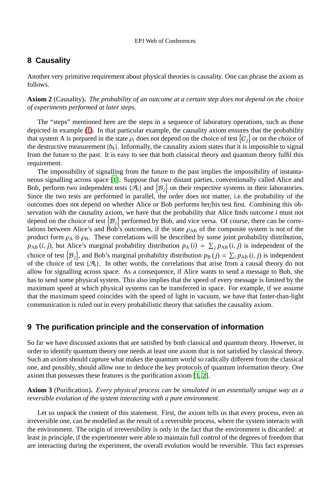# <span id="page-5-0"></span>**8 Causality**

Another very primitive requirement about physical theories is causality. One can phrase the axiom as follows.

**Axiom 2** (Causality)**.** *The probability of an outcome at a certain step does not depend on the choice of experiments performed at later steps.*

The "steps" mentioned here are the steps in a sequence of laboratory operations, such as those depicted in example [\(1\)](#page-2-0). In that particular example, the causality axiom ensures that the probability that system A is prepared in the state  $\rho_i$  does not depend on the choice of test  $\{C_j\}$  or on the choice of the destructive measurement  ${b_k}$ . Informally, the causality axiom states that it is impossible to signal from the future to the past. It is easy to see that both classical theory and quantum theory fulfil this requirement.

The impossibility of signalling from the future to the past implies the impossibility of instantaneous signalling across space [\[1\]](#page-9-0). Suppose that two distant parties, conventionally called Alice and Bob, perform two independent tests  $\{\mathcal{A}_i\}$  and  $\{\mathcal{B}_j\}$  on their respective systems in their laboratories. Since the two tests are performed in parallel, the order does not matter, i.e. the probability of the outcomes does not depend on whether Alice or Bob performs her/his test first. Combining this observation with the causality axiom, we have that the probability that Alice finds outcome *i* must not depend on the choice of test  $\mathcal{B}_j$  performed by Bob, and vice versa. Of course, there can be correlations between Alice's and Bob's outcomes, if the state  $\rho_{AB}$  of the composite system is not of the product form  $\rho_A \otimes \rho_B$ . These correlations will be described by some joint probability distribution,  $p_{AB}$  (*i*, *j*), but Alice's marginal probability distribution  $p_A$  (*i*) =  $\sum_j p_{AB}$  (*i*, *j*) is independent of the choice of test  $\{\mathcal{B}_j\}$ , and Bob's marginal probability distribution  $p_B(j) = \sum_i p_{AB}(i, j)$  is independent of the choice of test  $\{\mathcal{A}_i\}$ . In other words, the correlations that arise from a causal theory do not allow for signalling across space. As a consequence, if Alice wants to send a message to Bob, she has to send some physical system. This also implies that the speed of every message is limited by the maximum speed at which physical systems can be transferred in space. For example, if we assume that the maximum speed coincides with the speed of light in vacuum, we have that faster-than-light communication is ruled out in every probabilistic theory that satisfies the causality axiom.

## **9 The purification principle and the conservation of information**

So far we have discussed axioms that are satisfied by both classical and quantum theory. However, in order to identify quantum theory one needs at least one axiom that is not satisfied by classical theory. Such an axiom should capture what makes the quantum world so radically different from the classical one, and possibly, should allow one to deduce the key protocols of quantum information theory. One axiom that possesses these features is the purification axiom [\[1](#page-9-0), [2](#page-9-1)].

**Axiom 3** (Purification)**.** *Every physical process can be simulated in an essentially unique way as a reversible evolution of the system interacting with a pure environment.*

Let us unpack the content of this statement. First, the axiom tells us that every process, even an irreversible one, can be modelled as the result of a reversible process, where the system interacts with the environment. The origin of irreversibility is only in the fact that the environment is discarded: at least in principle, if the experimenter were able to maintain full control of the degrees of freedom that are interacting during the experiment, the overall evolution would be reversible. This fact expresses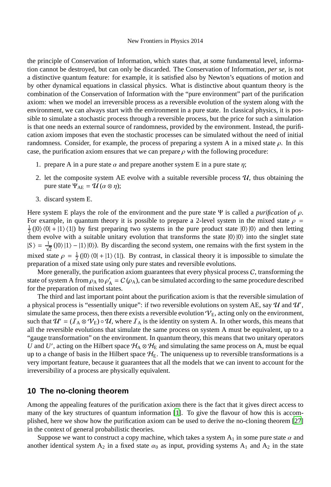#### New Frontiers in Physics 2014

the principle of Conservation of Information, which states that, at some fundamental level, information cannot be destroyed, but can only be discarded. The Conservation of Information, *per se*, is not a distinctive quantum feature: for example, it is satisfied also by Newton's equations of motion and by other dynamical equations in classical physics. What is distinctive about quantum theory is the combination of the Conservation of Information with the "pure environment" part of the purification axiom: when we model an irreversible process as a reversible evolution of the system along with the environment, we can always start with the environment in a pure state. In classical physics, it is possible to simulate a stochastic process through a reversible process, but the price for such a simulation is that one needs an external source of randomness, provided by the environment. Instead, the purification axiom imposes that even the stochastic processes can be simulated without the need of initial randomness. Consider, for example, the process of preparing a system A in a mixed state  $\rho$ . In this case, the purification axiom ensures that we can prepare  $\rho$  with the following procedure:

- 1. prepare A in a pure state  $\alpha$  and prepare another system E in a pure state  $\eta$ ;
- 2. let the composite system AE evolve with a suitable reversible process  $\mathcal{U}$ , thus obtaining the pure state  $\Psi_{AE} = U(\alpha \otimes \eta)$ ;
- 3. discard system E.

Here system E plays the role of the environment and the pure state Ψ is called a *purification* of ρ. For example, in quantum theory it is possible to prepare a 2-level system in the mixed state  $\rho =$  $\frac{1}{2}$  (|0) (0| + |1) (1|) by first preparing two systems in the pure product state  $|0\rangle$  |0) and then letting them evolve with a suitable unitary evolution that transforms the state  $|0\rangle|0\rangle$  into the singlet state  $|S\rangle = \frac{1}{\sqrt{2}} (|0\rangle |1\rangle - |1\rangle |0\rangle)$ . By discarding the second system, one remains with the first system in the mixed state  $\rho = \frac{1}{2} (0) (0 + |1\rangle \langle 1|)$ . By contrast, in classical theory it is impossible to simulate the preparation of a mixed state using only pure states and reversible evolutions.

More generally, the purification axiom guarantees that every physical process  $C$ , transforming the state of system A from  $\rho_A$  to  $\rho'_A = C(\rho_A)$ , can be simulated according to the same procedure described for the preparation of mixed states.

The third and last important point about the purification axiom is that the reversible simulation of a physical process is "essentially unique": if two reversible evolutions on system AE, say  $\mathcal U$  and  $\mathcal U'$ , simulate the same process, then there exists a reversible evolution  $V<sub>E</sub>$ , acting only on the environment, such that  $\mathcal{U}' = (I_A \otimes \mathcal{V}_E) \circ \mathcal{U}$ , where  $I_A$  is the identity on system A. In other words, this means that all the reversible evolutions that simulate the same process on system A must be equivalent, up to a "gauge transformation" on the environment. In quantum theory, this means that two unitary operators *U* and *U'*, acting on the Hilbert space  $H_A \otimes H_E$  and simulating the same process on A, must be equal up to a change of basis in the Hilbert space  $H<sub>E</sub>$ . The uniqueness up to reversible transformations is a very important feature, because it guarantees that all the models that we can invent to account for the irreversibility of a process are physically equivalent.

### **10 The no-cloning theorem**

Among the appealing features of the purification axiom there is the fact that it gives direct access to many of the key structures of quantum information [\[1\]](#page-9-0). To give the flavour of how this is accomplished, here we show how the purification axiom can be used to derive the no-cloning theorem [\[27\]](#page-10-3) in the context of general probabilistic theories.

Suppose we want to construct a copy machine, which takes a system  $A_1$  in some pure state  $\alpha$  and another identical system  $A_2$  in a fixed state  $\alpha_0$  as input, providing systems  $A_1$  and  $A_2$  in the state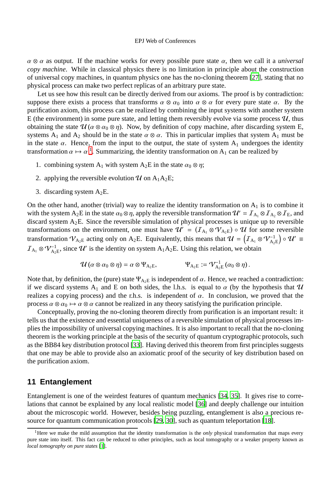$\alpha \otimes \alpha$  as output. If the machine works for every possible pure state  $\alpha$ , then we call it a *universal copy machine*. While in classical physics there is no limitation in principle about the construction of universal copy machines, in quantum physics one has the no-cloning theorem [\[27\]](#page-10-3), stating that no physical process can make two perfect replicas of an arbitrary pure state.

Let us see how this result can be directly derived from our axioms. The proof is by contradiction: suppose there exists a process that transforms  $\alpha \otimes \alpha_0$  into  $\alpha \otimes \alpha$  for every pure state  $\alpha$ . By the purification axiom, this process can be realized by combining the input systems with another system E (the environment) in some pure state, and letting them reversibly evolve via some process  $U$ , thus obtaining the state  $\mathcal{U}(\alpha \otimes \alpha_0 \otimes \eta)$ . Now, by definition of copy machine, after discarding system E, systems A<sub>1</sub> and A<sub>2</sub> should be in the state  $\alpha \otimes \alpha$ . This in particular implies that system A<sub>1</sub> must be in the state  $\alpha$ . Hence, from the input to the output, the state of system  $A_1$  undergoes the identity transformation  $\alpha \mapsto \alpha^{-1}$  $\alpha \mapsto \alpha^{-1}$  $\alpha \mapsto \alpha^{-1}$ . Summarizing, the identity transformation on A<sub>1</sub> can be realized by

- 1. combining system A<sub>1</sub> with system A<sub>2</sub>E in the state  $\alpha_0 \otimes \eta$ ;
- 2. applying the reversible evolution  $\mathcal{U}$  on A<sub>1</sub>A<sub>2</sub>E;
- 3. discarding system  $A_2E$ .

On the other hand, another (trivial) way to realize the identity transformation on  $A_1$  is to combine it with the system A<sub>2</sub>E in the state  $\alpha_0 \otimes \eta$ , apply the reversible transformation  $\mathcal{U}' = I_A \otimes I_A \otimes I_E$ , and discard system A2E. Since the reversible simulation of physical processes is unique up to reversible transformations on the environment, one must have  $\mathcal{U}' = (\mathcal{I}_{A_1} \otimes \mathcal{V}_{A_2E}) \circ \mathcal{U}$  for some reversible transformation  $V_{A_2E}$  acting only on A<sub>2</sub>E. Equivalently, this means that  $\mathcal{U} = (I_{A_1} \otimes \mathcal{V}_{A_2E}^{-1}) \circ \mathcal{U}' \equiv$  $I_{A_1} \otimes V_{A_2E}^{-1}$ , since  $U'$  is the identity on system  $A_1A_2E$ . Using this relation, we obtain

$$
\mathcal{U}(\alpha \otimes \alpha_0 \otimes \eta) = \alpha \otimes \Psi_{A_2E}, \qquad \Psi_{A_2E} := \mathcal{V}_{A_2E}^{-1}(\alpha_0 \otimes \eta).
$$

Note that, by definition, the (pure) state  $\Psi_{A_2E}$  is independent of  $\alpha$ . Hence, we reached a contradiction: if we discard systems  $A_1$  and E on both sides, the l.h.s. is equal to  $\alpha$  (by the hypothesis that  $\mathcal U$ realizes a copying process) and the r.h.s. is independent of  $\alpha$ . In conclusion, we proved that the process  $\alpha \otimes \alpha_0 \mapsto \alpha \otimes \alpha$  cannot be realized in any theory satisfying the purification principle.

Conceptually, proving the no-cloning theorem directly from purification is an important result: it tells us that the existence and essential uniqueness of a reversible simulation of physical processes implies the impossibility of universal copying machines. It is also important to recall that the no-cloning theorem is the working principle at the basis of the security of quantum cryptographic protocols, such as the BB84 key distribution protocol [\[33\]](#page-10-9). Having derived this theorem from first principles suggests that one may be able to provide also an axiomatic proof of the security of key distribution based on the purification axiom.

## **11 Entanglement**

Entanglement is one of the weirdest features of quantum mechanics [\[34](#page-10-10), [35\]](#page-10-11). It gives rise to correlations that cannot be explained by any local realistic model [\[36](#page-10-12)] and deeply challenge our intuition about the microscopic world. However, besides being puzzling, entanglement is also a precious resource for quantum communication protocols [\[29,](#page-10-5) [30\]](#page-10-6), such as quantum teleportation [\[18](#page-9-9)].

<span id="page-7-0"></span><sup>&</sup>lt;sup>1</sup>Here we make the mild assumption that the identity transformation is the *only* physical transformation that maps every pure state into itself. This fact can be reduced to other principles, such as local tomography or a weaker property known as *local tomography on pure states* [\[1\]](#page-9-0).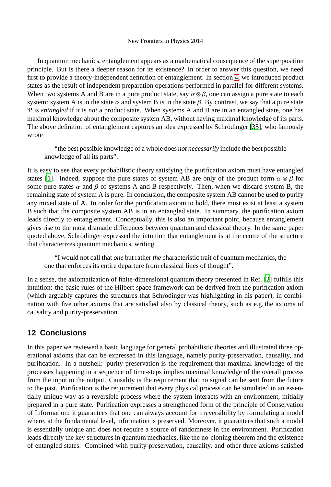### New Frontiers in Physics 2014

In quantum mechanics, entanglement appears as a mathematical consequence of the superposition principle. But is there a deeper reason for its existence? In order to answer this question, we need first to provide a theory-independent definition of entanglement. In section [4,](#page-2-1) we introduced product states as the result of independent preparation operations performed in parallel for different systems. When two systems A and B are in a pure product state, say  $\alpha \otimes \beta$ , one can assign a pure state to each system: system A is in the state  $\alpha$  and system B is in the state  $\beta$ . By contrast, we say that a pure state Ψ is *entangled* if it is *not* a product state. When systems A and B are in an entangled state, one has maximal knowledge about the composite system AB, without having maximal knowledge of its parts. The above definition of entanglement captures an idea expressed by Schrödinger [\[35](#page-10-11)], who famously wrote

"the best possible knowledge of a whole does *not necessarily* include the best possible knowledge of all its parts".

It is easy to see that every probabilistic theory satisfying the purification axiom must have entangled states [\[1\]](#page-9-0). Indeed, suppose the pure states of system AB are only of the product form  $\alpha \otimes \beta$  for some pure states  $\alpha$  and  $\beta$  of systems A and B respectively. Then, when we discard system B, the remaining state of system A is pure. In conclusion, the composite system AB cannot be used to purify any mixed state of A. In order for the purification axiom to hold, there must exist at least a system B such that the composite system AB is in an entangled state. In summary, the purification axiom leads directly to entanglement. Conceptually, this is also an important point, because entanglement gives rise to the most dramatic differences between quantum and classical theory. In the same paper quoted above, Schrödinger expressed the intuition that entanglement is at the centre of the structure that characterizes quantum mechanics, writing

"I would not call that *one* but rather *the* characteristic trait of quantum mechanics, the one that enforces its entire departure from classical lines of thought".

In a sense, the axiomatization of finite-dimensional quantum theory presented in Ref. [\[2\]](#page-9-1) fulfills this intuition: the basic rules of the Hilbert space framework can be derived from the purification axiom (which arguably captures the structures that Schrödinger was highlighting in his paper), in combination with five other axioms that are satisfied also by classical theory, such as e.g. the axioms of causality and purity-preservation.

# **12 Conclusions**

In this paper we reviewed a basic language for general probabilistic theories and illustrated three operational axioms that can be expressed in this language, namely purity-preservation, causality, and purification. In a nutshell: purity-preservation is the requirement that maximal knowledge of the processes happening in a sequence of time-steps implies maximal knowledge of the overall process from the input to the output. Causality is the requirement that no signal can be sent from the future to the past. Purification is the requirement that every physical process can be simulated in an essentially unique way as a reversible process where the system interacts with an environment, initially prepared in a pure state. Purification expresses a strengthened form of the principle of Conservation of Information: it guarantees that one can always account for irreversibility by formulating a model where, at the fundamental level, information is preserved. Moreover, it guarantees that such a model is essentially unique and does not require a source of randomness in the environment. Purification leads directly the key structures in quantum mechanics, like the no-cloning theorem and the existence of entangled states. Combined with purity-preservation, causality, and other three axioms satisfied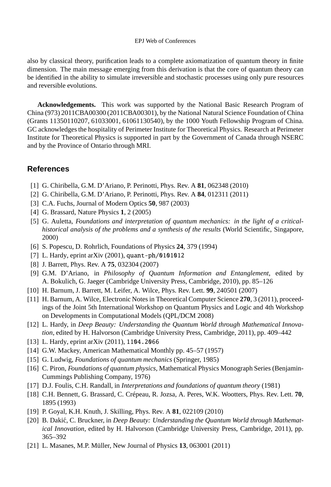also by classical theory, purification leads to a complete axiomatization of quantum theory in finite dimension. The main message emerging from this derivation is that the core of quantum theory can be identified in the ability to simulate irreversible and stochastic processes using only pure resources and reversible evolutions.

**Acknowledgements.** This work was supported by the National Basic Research Program of China (973) 2011CBA00300 (2011CBA00301), by the National Natural Science Foundation of China (Grants 11350110207, 61033001, 61061130540), by the 1000 Youth Fellowship Program of China. GC acknowledges the hospitality of Perimeter Institute for Theoretical Physics. Research at Perimeter Institute for Theoretical Physics is supported in part by the Government of Canada through NSERC and by the Province of Ontario through MRI.

# **References**

- <span id="page-9-0"></span>[1] G. Chiribella, G.M. D'Ariano, P. Perinotti, Phys. Rev. A **81**, 062348 (2010)
- <span id="page-9-1"></span>[2] G. Chiribella, G.M. D'Ariano, P. Perinotti, Phys. Rev. A **84**, 012311 (2011)
- <span id="page-9-2"></span>[3] C.A. Fuchs, Journal of Modern Optics **50**, 987 (2003)
- <span id="page-9-3"></span>[4] G. Brassard, Nature Physics **1**, 2 (2005)
- <span id="page-9-4"></span>[5] G. Auletta, *Foundations and interpretation of quantum mechanics: in the light of a criticalhistorical analysis of the problems and a synthesis of the results* (World Scientific, Singapore, 2000)
- <span id="page-9-5"></span>[6] S. Popescu, D. Rohrlich, Foundations of Physics **24**, 379 (1994)
- <span id="page-9-10"></span>[7] L. Hardy, eprint arXiv (2001), quant-ph/0101012
- [8] J. Barrett, Phys. Rev. A **75**, 032304 (2007)
- <span id="page-9-11"></span>[9] G.M. D'Ariano, in *Philosophy of Quantum Information and Entanglement*, edited by A. Bokulich, G. Jaeger (Cambridge University Press, Cambridge, 2010), pp. 85–126
- [10] H. Barnum, J. Barrett, M. Leifer, A. Wilce, Phys. Rev. Lett. **99**, 240501 (2007)
- [11] H. Barnum, A. Wilce, Electronic Notes in Theoretical Computer Science **270**, 3 (2011), proceedings of the Joint 5th International Workshop on Quantum Physics and Logic and 4th Workshop on Developments in Computational Models (QPL/DCM 2008)
- [12] L. Hardy, in *Deep Beauty: Understanding the Quantum World through Mathematical Innovation*, edited by H. Halvorson (Cambridge University Press, Cambridge, 2011), pp. 409–442
- <span id="page-9-6"></span>[13] L. Hardy, eprint arXiv (2011), 1104.2066
- <span id="page-9-7"></span>[14] G.W. Mackey, American Mathematical Monthly pp. 45–57 (1957)
- [15] G. Ludwig, *Foundations of quantum mechanics* (Springer, 1985)
- [16] C. Piron, *Foundations of quantum physics*, Mathematical Physics Monograph Series (Benjamin-Cummings Publishing Company, 1976)
- <span id="page-9-8"></span>[17] D.J. Foulis, C.H. Randall, in *Interpretations and foundations of quantum theory* (1981)
- <span id="page-9-9"></span>[18] C.H. Bennett, G. Brassard, C. Crépeau, R. Jozsa, A. Peres, W.K. Wootters, Phys. Rev. Lett. **70**, 1895 (1993)
- <span id="page-9-12"></span>[19] P. Goyal, K.H. Knuth, J. Skilling, Phys. Rev. A **81**, 022109 (2010)
- [20] B. Dakić, C. Bruckner, in *Deep Beauty: Understanding the Quantum World through Mathematical Innovation*, edited by H. Halvorson (Cambridge University Press, Cambridge, 2011), pp. 365–392
- [21] L. Masanes, M.P. Müller, New Journal of Physics **13**, 063001 (2011)